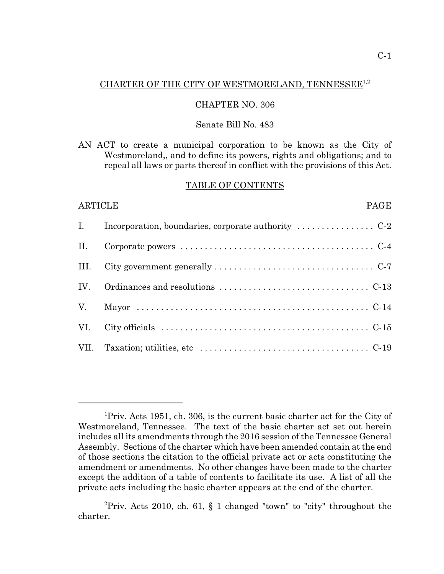# CHARTER OF THE CITY OF WESTMORELAND, TENNESSEE<sup>1,2</sup>

### CHAPTER NO. 306

#### Senate Bill No. 483

AN ACT to create a municipal corporation to be known as the City of Westmoreland,, and to define its powers, rights and obligations; and to repeal all laws or parts thereof in conflict with the provisions of this Act.

#### TABLE OF CONTENTS

### ARTICLE PAGE

<sup>&</sup>lt;sup>1</sup>Priv. Acts 1951, ch. 306, is the current basic charter act for the City of Westmoreland, Tennessee. The text of the basic charter act set out herein includes all its amendments through the 2016 session of the Tennessee General Assembly. Sections of the charter which have been amended contain at the end of those sections the citation to the official private act or acts constituting the amendment or amendments. No other changes have been made to the charter except the addition of a table of contents to facilitate its use. A list of all the private acts including the basic charter appears at the end of the charter.

<sup>&</sup>lt;sup>2</sup>Priv. Acts 2010, ch. 61, § 1 changed "town" to "city" throughout the charter.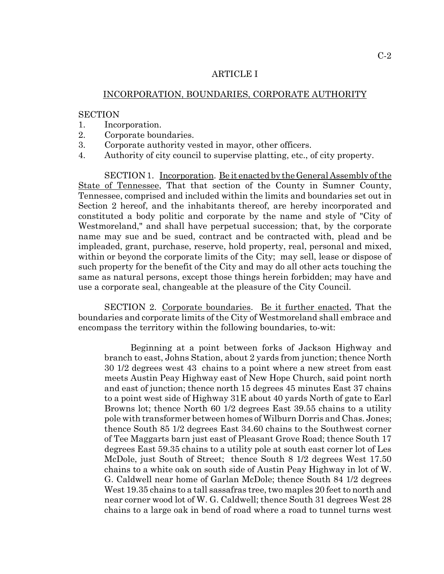#### ARTICLE I

### INCORPORATION, BOUNDARIES, CORPORATE AUTHORITY

#### **SECTION**

- 1. Incorporation.
- 2. Corporate boundaries.
- 3. Corporate authority vested in mayor, other officers.
- 4. Authority of city council to supervise platting, etc., of city property.

SECTION 1. Incorporation. Be it enacted by the General Assembly of the State of Tennessee, That that section of the County in Sumner County, Tennessee, comprised and included within the limits and boundaries set out in Section 2 hereof, and the inhabitants thereof, are hereby incorporated and constituted a body politic and corporate by the name and style of "City of Westmoreland," and shall have perpetual succession; that, by the corporate name may sue and be sued, contract and be contracted with, plead and be impleaded, grant, purchase, reserve, hold property, real, personal and mixed, within or beyond the corporate limits of the City; may sell, lease or dispose of such property for the benefit of the City and may do all other acts touching the same as natural persons, except those things herein forbidden; may have and use a corporate seal, changeable at the pleasure of the City Council.

SECTION 2. Corporate boundaries. Be it further enacted, That the boundaries and corporate limits of the City of Westmoreland shall embrace and encompass the territory within the following boundaries, to-wit:

Beginning at a point between forks of Jackson Highway and branch to east, Johns Station, about 2 yards from junction; thence North 30 1/2 degrees west 43 chains to a point where a new street from east meets Austin Peay Highway east of New Hope Church, said point north and east of junction; thence north 15 degrees 45 minutes East 37 chains to a point west side of Highway 31E about 40 yards North of gate to Earl Browns lot; thence North 60 1/2 degrees East 39.55 chains to a utility pole with transformer between homes of Wilburn Dorris and Chas. Jones; thence South 85 1/2 degrees East 34.60 chains to the Southwest corner of Tee Maggarts barn just east of Pleasant Grove Road; thence South 17 degrees East 59.35 chains to a utility pole at south east corner lot of Les McDole, just South of Street; thence South 8 1/2 degrees West 17.50 chains to a white oak on south side of Austin Peay Highway in lot of W. G. Caldwell near home of Garlan McDole; thence South 84 1/2 degrees West 19.35 chains to a tall sassafras tree, two maples 20 feet to north and near corner wood lot of W. G. Caldwell; thence South 31 degrees West 28 chains to a large oak in bend of road where a road to tunnel turns west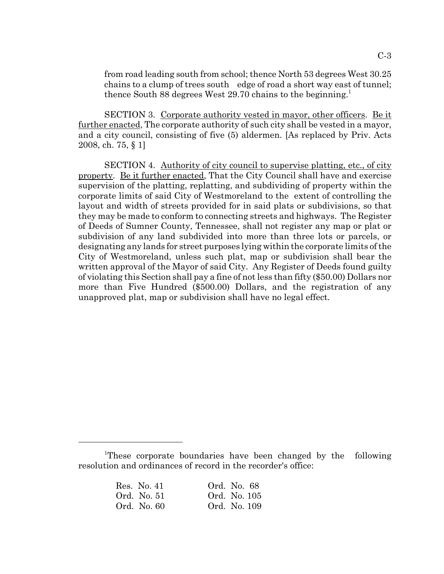from road leading south from school; thence North 53 degrees West 30.25 chains to a clump of trees south edge of road a short way east of tunnel; thence South 88 degrees West 29.70 chains to the beginning.<sup>1</sup>

SECTION 3. Corporate authority vested in mayor, other officers. Be it further enacted, The corporate authority of such city shall be vested in a mayor, and a city council, consisting of five (5) aldermen. [As replaced by Priv. Acts 2008, ch. 75, § 1]

SECTION 4. Authority of city council to supervise platting, etc., of city property. Be it further enacted, That the City Council shall have and exercise supervision of the platting, replatting, and subdividing of property within the corporate limits of said City of Westmoreland to the extent of controlling the layout and width of streets provided for in said plats or subdivisions, so that they may be made to conform to connecting streets and highways. The Register of Deeds of Sumner County, Tennessee, shall not register any map or plat or subdivision of any land subdivided into more than three lots or parcels, or designating any lands for street purposes lying within the corporate limits of the City of Westmoreland, unless such plat, map or subdivision shall bear the written approval of the Mayor of said City. Any Register of Deeds found guilty of violating this Section shall pay a fine of not less than fifty (\$50.00) Dollars nor more than Five Hundred (\$500.00) Dollars, and the registration of any unapproved plat, map or subdivision shall have no legal effect.

<sup>&</sup>lt;sup>1</sup>These corporate boundaries have been changed by the following resolution and ordinances of record in the recorder's office:

| Res. No. 41 | Ord. No. 68  |
|-------------|--------------|
| Ord. No. 51 | Ord. No. 105 |
| Ord. No. 60 | Ord. No. 109 |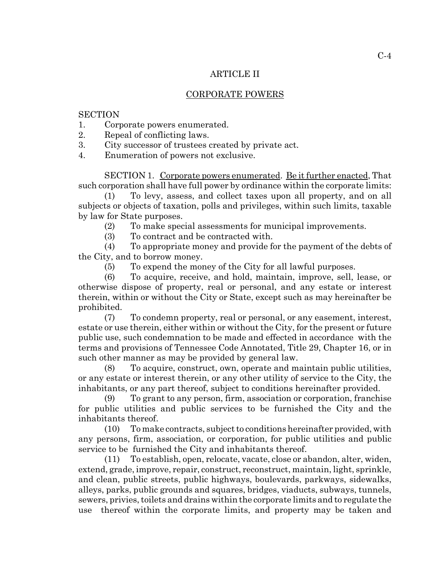## ARTICLE II

## CORPORATE POWERS

## **SECTION**

- 1. Corporate powers enumerated.
- 2. Repeal of conflicting laws.
- 3. City successor of trustees created by private act.
- 4. Enumeration of powers not exclusive.

SECTION 1. Corporate powers enumerated. Be it further enacted, That such corporation shall have full power by ordinance within the corporate limits:

(1) To levy, assess, and collect taxes upon all property, and on all subjects or objects of taxation, polls and privileges, within such limits, taxable by law for State purposes.

(2) To make special assessments for municipal improvements.

(3) To contract and be contracted with.

(4) To appropriate money and provide for the payment of the debts of the City, and to borrow money.

(5) To expend the money of the City for all lawful purposes.

(6) To acquire, receive, and hold, maintain, improve, sell, lease, or otherwise dispose of property, real or personal, and any estate or interest therein, within or without the City or State, except such as may hereinafter be prohibited.

(7) To condemn property, real or personal, or any easement, interest, estate or use therein, either within or without the City, for the present or future public use, such condemnation to be made and effected in accordance with the terms and provisions of Tennessee Code Annotated, Title 29, Chapter 16, or in such other manner as may be provided by general law.

(8) To acquire, construct, own, operate and maintain public utilities, or any estate or interest therein, or any other utility of service to the City, the inhabitants, or any part thereof, subject to conditions hereinafter provided.

(9) To grant to any person, firm, association or corporation, franchise for public utilities and public services to be furnished the City and the inhabitants thereof.

(10) To make contracts, subject to conditions hereinafter provided, with any persons, firm, association, or corporation, for public utilities and public service to be furnished the City and inhabitants thereof.

(11) To establish, open, relocate, vacate, close or abandon, alter, widen, extend, grade, improve, repair, construct, reconstruct, maintain, light, sprinkle, and clean, public streets, public highways, boulevards, parkways, sidewalks, alleys, parks, public grounds and squares, bridges, viaducts, subways, tunnels, sewers, privies, toilets and drains within the corporate limits and to regulate the use thereof within the corporate limits, and property may be taken and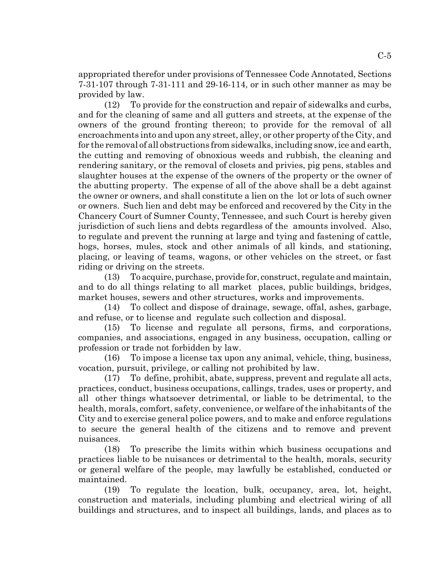appropriated therefor under provisions of Tennessee Code Annotated, Sections 7-31-107 through 7-31-111 and 29-16-114, or in such other manner as may be provided by law.

(12) To provide for the construction and repair of sidewalks and curbs, and for the cleaning of same and all gutters and streets, at the expense of the owners of the ground fronting thereon; to provide for the removal of all encroachments into and upon any street, alley, or other property of the City, and for the removal of all obstructions from sidewalks, including snow, ice and earth, the cutting and removing of obnoxious weeds and rubbish, the cleaning and rendering sanitary, or the removal of closets and privies, pig pens, stables and slaughter houses at the expense of the owners of the property or the owner of the abutting property. The expense of all of the above shall be a debt against the owner or owners, and shall constitute a lien on the lot or lots of such owner or owners. Such lien and debt may be enforced and recovered by the City in the Chancery Court of Sumner County, Tennessee, and such Court is hereby given jurisdiction of such liens and debts regardless of the amounts involved. Also, to regulate and prevent the running at large and tying and fastening of cattle, hogs, horses, mules, stock and other animals of all kinds, and stationing, placing, or leaving of teams, wagons, or other vehicles on the street, or fast riding or driving on the streets.

(13) To acquire, purchase, provide for, construct, regulate and maintain, and to do all things relating to all market places, public buildings, bridges, market houses, sewers and other structures, works and improvements.

(14) To collect and dispose of drainage, sewage, offal, ashes, garbage, and refuse, or to license and regulate such collection and disposal.

(15) To license and regulate all persons, firms, and corporations, companies, and associations, engaged in any business, occupation, calling or profession or trade not forbidden by law.

(16) To impose a license tax upon any animal, vehicle, thing, business, vocation, pursuit, privilege, or calling not prohibited by law.

(17) To define, prohibit, abate, suppress, prevent and regulate all acts, practices, conduct, business occupations, callings, trades, uses or property, and all other things whatsoever detrimental, or liable to be detrimental, to the health, morals, comfort, safety, convenience, or welfare of the inhabitants of the City and to exercise general police powers, and to make and enforce regulations to secure the general health of the citizens and to remove and prevent nuisances.

(18) To prescribe the limits within which business occupations and practices liable to be nuisances or detrimental to the health, morals, security or general welfare of the people, may lawfully be established, conducted or maintained.

(19) To regulate the location, bulk, occupancy, area, lot, height, construction and materials, including plumbing and electrical wiring of all buildings and structures, and to inspect all buildings, lands, and places as to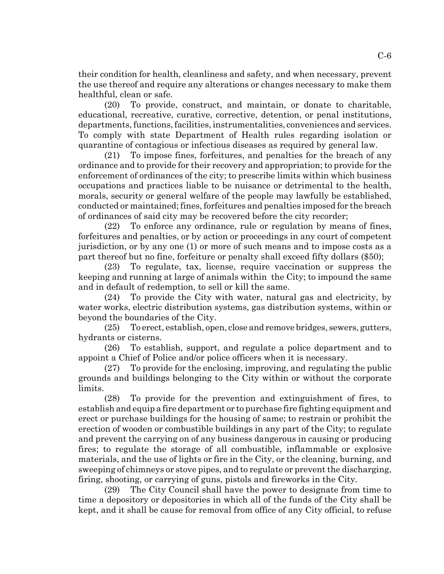their condition for health, cleanliness and safety, and when necessary, prevent the use thereof and require any alterations or changes necessary to make them healthful, clean or safe.

(20) To provide, construct, and maintain, or donate to charitable, educational, recreative, curative, corrective, detention, or penal institutions, departments, functions, facilities, instrumentalities, conveniences and services. To comply with state Department of Health rules regarding isolation or quarantine of contagious or infectious diseases as required by general law.

(21) To impose fines, forfeitures, and penalties for the breach of any ordinance and to provide for their recovery and appropriation; to provide for the enforcement of ordinances of the city; to prescribe limits within which business occupations and practices liable to be nuisance or detrimental to the health, morals, security or general welfare of the people may lawfully be established, conducted or maintained; fines, forfeitures and penalties imposed for the breach of ordinances of said city may be recovered before the city recorder;

(22) To enforce any ordinance, rule or regulation by means of fines, forfeitures and penalties, or by action or proceedings in any court of competent jurisdiction, or by any one (1) or more of such means and to impose costs as a part thereof but no fine, forfeiture or penalty shall exceed fifty dollars (\$50);

(23) To regulate, tax, license, require vaccination or suppress the keeping and running at large of animals within the City; to impound the same and in default of redemption, to sell or kill the same.

(24) To provide the City with water, natural gas and electricity, by water works, electric distribution systems, gas distribution systems, within or beyond the boundaries of the City.

(25) To erect, establish, open, close and remove bridges, sewers, gutters, hydrants or cisterns.

(26) To establish, support, and regulate a police department and to appoint a Chief of Police and/or police officers when it is necessary.

(27) To provide for the enclosing, improving, and regulating the public grounds and buildings belonging to the City within or without the corporate limits.

(28) To provide for the prevention and extinguishment of fires, to establish and equip a fire department or to purchase fire fighting equipment and erect or purchase buildings for the housing of same; to restrain or prohibit the erection of wooden or combustible buildings in any part of the City; to regulate and prevent the carrying on of any business dangerous in causing or producing fires; to regulate the storage of all combustible, inflammable or explosive materials, and the use of lights or fire in the City, or the cleaning, burning, and sweeping of chimneys or stove pipes, and to regulate or prevent the discharging, firing, shooting, or carrying of guns, pistols and fireworks in the City.

(29) The City Council shall have the power to designate from time to time a depository or depositories in which all of the funds of the City shall be kept, and it shall be cause for removal from office of any City official, to refuse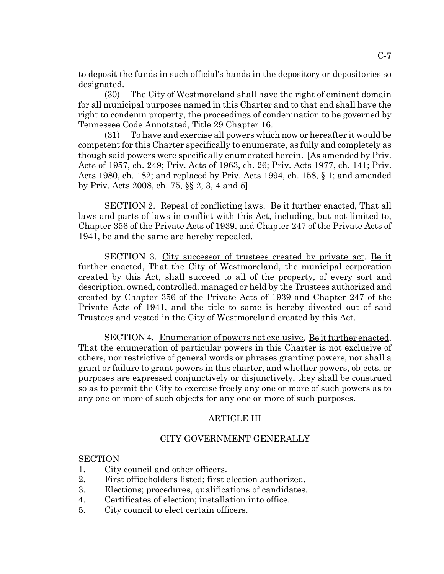to deposit the funds in such official's hands in the depository or depositories so designated.

(30) The City of Westmoreland shall have the right of eminent domain for all municipal purposes named in this Charter and to that end shall have the right to condemn property, the proceedings of condemnation to be governed by Tennessee Code Annotated, Title 29 Chapter 16.

(31) To have and exercise all powers which now or hereafter it would be competent for this Charter specifically to enumerate, as fully and completely as though said powers were specifically enumerated herein. [As amended by Priv. Acts of 1957, ch. 249; Priv. Acts of 1963, ch. 26; Priv. Acts 1977, ch. 141; Priv. Acts 1980, ch. 182; and replaced by Priv. Acts 1994, ch. 158, § 1; and amended by Priv. Acts 2008, ch. 75, §§ 2, 3, 4 and 5]

SECTION 2. Repeal of conflicting laws. Be it further enacted, That all laws and parts of laws in conflict with this Act, including, but not limited to, Chapter 356 of the Private Acts of 1939, and Chapter 247 of the Private Acts of 1941, be and the same are hereby repealed.

SECTION 3. City successor of trustees created by private act. Be it further enacted, That the City of Westmoreland, the municipal corporation created by this Act, shall succeed to all of the property, of every sort and description, owned, controlled, managed or held by the Trustees authorized and created by Chapter 356 of the Private Acts of 1939 and Chapter 247 of the Private Acts of 1941, and the title to same is hereby divested out of said Trustees and vested in the City of Westmoreland created by this Act.

SECTION 4. Enumeration of powers not exclusive. Be it further enacted, That the enumeration of particular powers in this Charter is not exclusive of others, nor restrictive of general words or phrases granting powers, nor shall a grant or failure to grant powers in this charter, and whether powers, objects, or purposes are expressed conjunctively or disjunctively, they shall be construed so as to permit the City to exercise freely any one or more of such powers as to any one or more of such objects for any one or more of such purposes.

## ARTICLE III

## CITY GOVERNMENT GENERALLY

#### **SECTION**

- 1. City council and other officers.
- 2. First officeholders listed; first election authorized.
- 3. Elections; procedures, qualifications of candidates.
- 4. Certificates of election; installation into office.
- 5. City council to elect certain officers.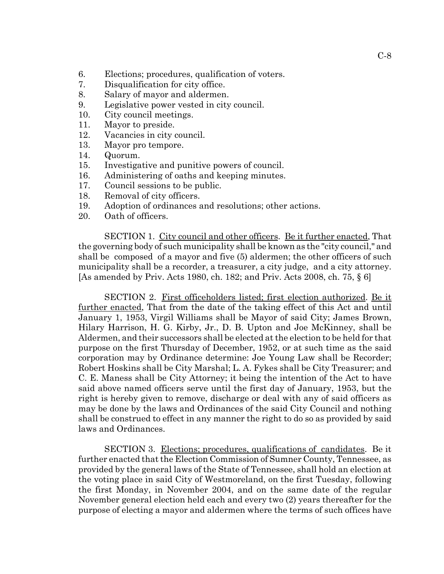- 6. Elections; procedures, qualification of voters.
- 7. Disqualification for city office.
- 8. Salary of mayor and aldermen.
- 9. Legislative power vested in city council.
- 10. City council meetings.
- 11. Mayor to preside.
- 12. Vacancies in city council.
- 13. Mayor pro tempore.
- 14. Quorum.
- 15. Investigative and punitive powers of council.
- 16. Administering of oaths and keeping minutes.
- 17. Council sessions to be public.
- 18. Removal of city officers.
- 19. Adoption of ordinances and resolutions; other actions.
- 20. Oath of officers.

SECTION 1. City council and other officers. Be it further enacted, That the governing body of such municipality shall be known as the "city council," and shall be composed of a mayor and five (5) aldermen; the other officers of such municipality shall be a recorder, a treasurer, a city judge, and a city attorney. [As amended by Priv. Acts 1980, ch. 182; and Priv. Acts 2008, ch. 75, § 6]

SECTION 2. First officeholders listed; first election authorized. Be it further enacted, That from the date of the taking effect of this Act and until January 1, 1953, Virgil Williams shall be Mayor of said City; James Brown, Hilary Harrison, H. G. Kirby, Jr., D. B. Upton and Joe McKinney, shall be Aldermen, and their successors shall be elected at the election to be held for that purpose on the first Thursday of December, 1952, or at such time as the said corporation may by Ordinance determine: Joe Young Law shall be Recorder; Robert Hoskins shall be City Marshal; L. A. Fykes shall be City Treasurer; and C. E. Maness shall be City Attorney; it being the intention of the Act to have said above named officers serve until the first day of January, 1953, but the right is hereby given to remove, discharge or deal with any of said officers as may be done by the laws and Ordinances of the said City Council and nothing shall be construed to effect in any manner the right to do so as provided by said laws and Ordinances.

SECTION 3. Elections; procedures, qualifications of candidates. Be it further enacted that the Election Commission of Sumner County, Tennessee, as provided by the general laws of the State of Tennessee, shall hold an election at the voting place in said City of Westmoreland, on the first Tuesday, following the first Monday, in November 2004, and on the same date of the regular November general election held each and every two (2) years thereafter for the purpose of electing a mayor and aldermen where the terms of such offices have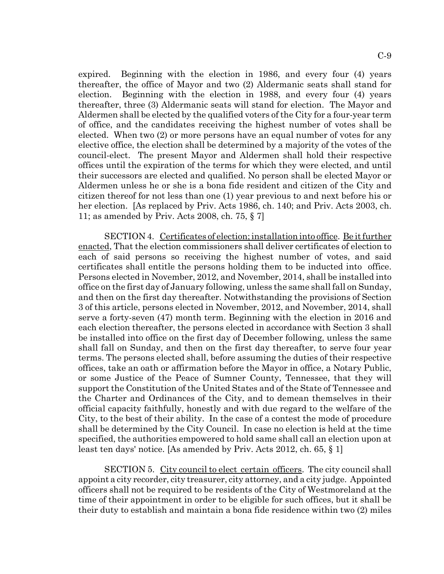expired. Beginning with the election in 1986, and every four (4) years thereafter, the office of Mayor and two (2) Aldermanic seats shall stand for election. Beginning with the election in 1988, and every four (4) years thereafter, three (3) Aldermanic seats will stand for election. The Mayor and Aldermen shall be elected by the qualified voters of the City for a four-year term of office, and the candidates receiving the highest number of votes shall be elected. When two (2) or more persons have an equal number of votes for any elective office, the election shall be determined by a majority of the votes of the council-elect. The present Mayor and Aldermen shall hold their respective offices until the expiration of the terms for which they were elected, and until their successors are elected and qualified. No person shall be elected Mayor or Aldermen unless he or she is a bona fide resident and citizen of the City and citizen thereof for not less than one (1) year previous to and next before his or her election. [As replaced by Priv. Acts 1986, ch. 140; and Priv. Acts 2003, ch. 11; as amended by Priv. Acts 2008, ch. 75, § 7]

SECTION 4. Certificates of election; installation into office. Be it further enacted, That the election commissioners shall deliver certificates of election to each of said persons so receiving the highest number of votes, and said certificates shall entitle the persons holding them to be inducted into office. Persons elected in November, 2012, and November, 2014, shall be installed into office on the first day of January following, unless the same shall fall on Sunday, and then on the first day thereafter. Notwithstanding the provisions of Section 3 of this article, persons elected in November, 2012, and November, 2014, shall serve a forty-seven (47) month term. Beginning with the election in 2016 and each election thereafter, the persons elected in accordance with Section 3 shall be installed into office on the first day of December following, unless the same shall fall on Sunday, and then on the first day thereafter, to serve four year terms. The persons elected shall, before assuming the duties of their respective offices, take an oath or affirmation before the Mayor in office, a Notary Public, or some Justice of the Peace of Sumner County, Tennessee, that they will support the Constitution of the United States and of the State of Tennessee and the Charter and Ordinances of the City, and to demean themselves in their official capacity faithfully, honestly and with due regard to the welfare of the City, to the best of their ability. In the case of a contest the mode of procedure shall be determined by the City Council. In case no election is held at the time specified, the authorities empowered to hold same shall call an election upon at least ten days' notice. [As amended by Priv. Acts 2012, ch. 65, § 1]

SECTION 5. City council to elect certain officers. The city council shall appoint a city recorder, city treasurer, city attorney, and a city judge. Appointed officers shall not be required to be residents of the City of Westmoreland at the time of their appointment in order to be eligible for such offices, but it shall be their duty to establish and maintain a bona fide residence within two (2) miles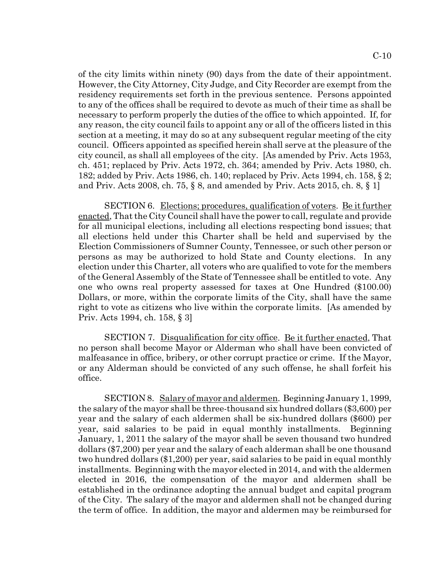of the city limits within ninety (90) days from the date of their appointment. However, the City Attorney, City Judge, and City Recorder are exempt from the residency requirements set forth in the previous sentence. Persons appointed to any of the offices shall be required to devote as much of their time as shall be necessary to perform properly the duties of the office to which appointed. If, for any reason, the city council fails to appoint any or all of the officers listed in this section at a meeting, it may do so at any subsequent regular meeting of the city council. Officers appointed as specified herein shall serve at the pleasure of the city council, as shall all employees of the city. [As amended by Priv. Acts 1953, ch. 451; replaced by Priv. Acts 1972, ch. 364; amended by Priv. Acts 1980, ch. 182; added by Priv. Acts 1986, ch. 140; replaced by Priv. Acts 1994, ch. 158, § 2; and Priv. Acts 2008, ch. 75, § 8, and amended by Priv. Acts 2015, ch. 8, § 1]

SECTION 6. Elections; procedures, qualification of voters. Be it further enacted, That the City Council shall have the power to call, regulate and provide for all municipal elections, including all elections respecting bond issues; that all elections held under this Charter shall be held and supervised by the Election Commissioners of Sumner County, Tennessee, or such other person or persons as may be authorized to hold State and County elections. In any election under this Charter, all voters who are qualified to vote for the members of the General Assembly of the State of Tennessee shall be entitled to vote. Any one who owns real property assessed for taxes at One Hundred (\$100.00) Dollars, or more, within the corporate limits of the City, shall have the same right to vote as citizens who live within the corporate limits. [As amended by Priv. Acts 1994, ch. 158, § 3]

SECTION 7. Disqualification for city office. Be it further enacted, That no person shall become Mayor or Alderman who shall have been convicted of malfeasance in office, bribery, or other corrupt practice or crime. If the Mayor, or any Alderman should be convicted of any such offense, he shall forfeit his office.

SECTION 8. Salary of mayor and aldermen. Beginning January 1, 1999, the salary of the mayor shall be three-thousand six hundred dollars (\$3,600) per year and the salary of each aldermen shall be six-hundred dollars (\$600) per year, said salaries to be paid in equal monthly installments. Beginning January, 1, 2011 the salary of the mayor shall be seven thousand two hundred dollars (\$7,200) per year and the salary of each alderman shall be one thousand two hundred dollars (\$1,200) per year, said salaries to be paid in equal monthly installments. Beginning with the mayor elected in 2014, and with the aldermen elected in 2016, the compensation of the mayor and aldermen shall be established in the ordinance adopting the annual budget and capital program of the City. The salary of the mayor and aldermen shall not be changed during the term of office. In addition, the mayor and aldermen may be reimbursed for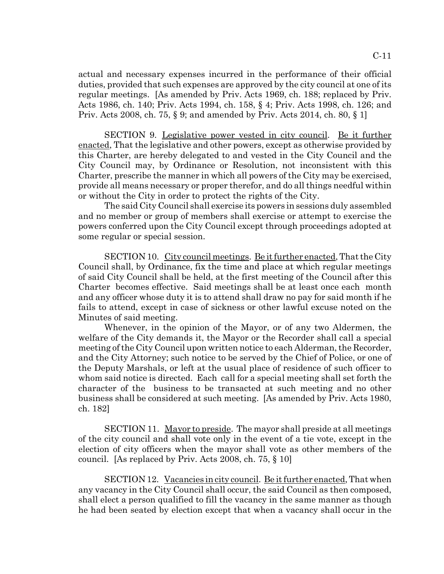actual and necessary expenses incurred in the performance of their official duties, provided that such expenses are approved by the city council at one of its regular meetings. [As amended by Priv. Acts 1969, ch. 188; replaced by Priv. Acts 1986, ch. 140; Priv. Acts 1994, ch. 158, § 4; Priv. Acts 1998, ch. 126; and Priv. Acts 2008, ch. 75, § 9; and amended by Priv. Acts 2014, ch. 80, § 1]

SECTION 9. Legislative power vested in city council. Be it further enacted, That the legislative and other powers, except as otherwise provided by this Charter, are hereby delegated to and vested in the City Council and the City Council may, by Ordinance or Resolution, not inconsistent with this Charter, prescribe the manner in which all powers of the City may be exercised, provide all means necessary or proper therefor, and do all things needful within or without the City in order to protect the rights of the City.

The said City Council shall exercise its powers in sessions duly assembled and no member or group of members shall exercise or attempt to exercise the powers conferred upon the City Council except through proceedings adopted at some regular or special session.

SECTION 10. City council meetings. Be it further enacted, That the City Council shall, by Ordinance, fix the time and place at which regular meetings of said City Council shall be held, at the first meeting of the Council after this Charter becomes effective. Said meetings shall be at least once each month and any officer whose duty it is to attend shall draw no pay for said month if he fails to attend, except in case of sickness or other lawful excuse noted on the Minutes of said meeting.

Whenever, in the opinion of the Mayor, or of any two Aldermen, the welfare of the City demands it, the Mayor or the Recorder shall call a special meeting of the City Council upon written notice to each Alderman, the Recorder, and the City Attorney; such notice to be served by the Chief of Police, or one of the Deputy Marshals, or left at the usual place of residence of such officer to whom said notice is directed. Each call for a special meeting shall set forth the character of the business to be transacted at such meeting and no other business shall be considered at such meeting. [As amended by Priv. Acts 1980, ch. 182]

SECTION 11. Mayor to preside. The mayor shall preside at all meetings of the city council and shall vote only in the event of a tie vote, except in the election of city officers when the mayor shall vote as other members of the council. [As replaced by Priv. Acts 2008, ch. 75, § 10]

SECTION 12. Vacancies in city council. Be it further enacted, That when any vacancy in the City Council shall occur, the said Council as then composed, shall elect a person qualified to fill the vacancy in the same manner as though he had been seated by election except that when a vacancy shall occur in the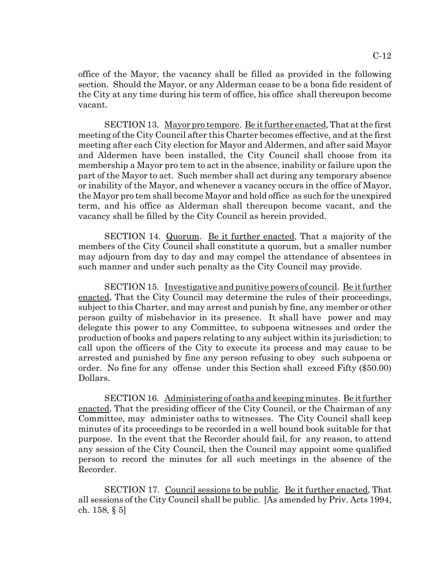office of the Mayor, the vacancy shall be filled as provided in the following section. Should the Mayor, or any Alderman cease to be a bona fide resident of the City at any time during his term of office, his office shall thereupon become vacant.

SECTION 13. Mayor pro tempore. Be it further enacted, That at the first meeting of the City Council after this Charter becomes effective, and at the first meeting after each City election for Mayor and Aldermen, and after said Mayor and Aldermen have been installed, the City Council shall choose from its membership a Mayor pro tem to act in the absence, inability or failure upon the part of the Mayor to act. Such member shall act during any temporary absence or inability of the Mayor, and whenever a vacancy occurs in the office of Mayor, the Mayor pro tem shall become Mayor and hold office as such for the unexpired term, and his office as Alderman shall thereupon become vacant, and the vacancy shall be filled by the City Council as herein provided.

SECTION 14. Quorum. Be it further enacted, That a majority of the members of the City Council shall constitute a quorum, but a smaller number may adjourn from day to day and may compel the attendance of absentees in such manner and under such penalty as the City Council may provide.

SECTION 15. Investigative and punitive powers of council. Be it further enacted, That the City Council may determine the rules of their proceedings, subject to this Charter, and may arrest and punish by fine, any member or other person guilty of misbehavior in its presence. It shall have power and may delegate this power to any Committee, to subpoena witnesses and order the production of books and papers relating to any subject within its jurisdiction; to call upon the officers of the City to execute its process and may cause to be arrested and punished by fine any person refusing to obey such subpoena or order. No fine for any offense under this Section shall exceed Fifty (\$50.00) Dollars.

SECTION 16. Administering of oaths and keeping minutes. Be it further enacted, That the presiding officer of the City Council, or the Chairman of any Committee, may administer oaths to witnesses. The City Council shall keep minutes of its proceedings to be recorded in a well bound book suitable for that purpose. In the event that the Recorder should fail, for any reason, to attend any session of the City Council, then the Council may appoint some qualified person to record the minutes for all such meetings in the absence of the Recorder.

SECTION 17. Council sessions to be public. Be it further enacted, That all sessions of the City Council shall be public. [As amended by Priv. Acts 1994, ch. 158, § 5]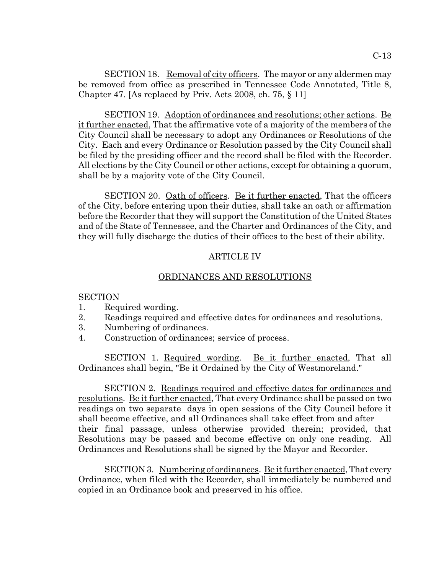SECTION 18. Removal of city officers. The mayor or any aldermen may be removed from office as prescribed in Tennessee Code Annotated, Title 8, Chapter 47. [As replaced by Priv. Acts 2008, ch. 75, § 11]

SECTION 19. Adoption of ordinances and resolutions; other actions. Be it further enacted, That the affirmative vote of a majority of the members of the City Council shall be necessary to adopt any Ordinances or Resolutions of the City. Each and every Ordinance or Resolution passed by the City Council shall be filed by the presiding officer and the record shall be filed with the Recorder. All elections by the City Council or other actions, except for obtaining a quorum, shall be by a majority vote of the City Council.

SECTION 20. Oath of officers. Be it further enacted, That the officers of the City, before entering upon their duties, shall take an oath or affirmation before the Recorder that they will support the Constitution of the United States and of the State of Tennessee, and the Charter and Ordinances of the City, and they will fully discharge the duties of their offices to the best of their ability.

### ARTICLE IV

#### ORDINANCES AND RESOLUTIONS

#### **SECTION**

- 1. Required wording.
- 2. Readings required and effective dates for ordinances and resolutions.
- 3. Numbering of ordinances.
- 4. Construction of ordinances; service of process.

SECTION 1. Required wording. Be it further enacted, That all Ordinances shall begin, "Be it Ordained by the City of Westmoreland."

SECTION 2. Readings required and effective dates for ordinances and resolutions. Be it further enacted, That every Ordinance shall be passed on two readings on two separate days in open sessions of the City Council before it shall become effective, and all Ordinances shall take effect from and after their final passage, unless otherwise provided therein; provided, that Resolutions may be passed and become effective on only one reading. All Ordinances and Resolutions shall be signed by the Mayor and Recorder.

SECTION 3. Numbering of ordinances. Be it further enacted, That every Ordinance, when filed with the Recorder, shall immediately be numbered and copied in an Ordinance book and preserved in his office.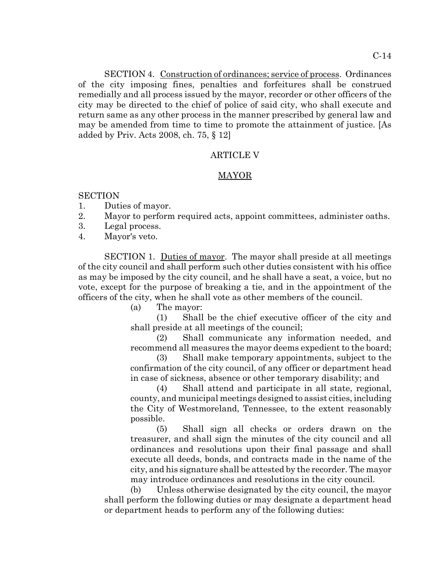SECTION 4. Construction of ordinances; service of process. Ordinances of the city imposing fines, penalties and forfeitures shall be construed remedially and all process issued by the mayor, recorder or other officers of the city may be directed to the chief of police of said city, who shall execute and return same as any other process in the manner prescribed by general law and may be amended from time to time to promote the attainment of justice. [As added by Priv. Acts 2008, ch. 75, § 12]

## ARTICLE V

## MAYOR

### **SECTION**

- 1. Duties of mayor.
- 2. Mayor to perform required acts, appoint committees, administer oaths.
- 3. Legal process.
- 4. Mayor's veto.

SECTION 1. Duties of mayor. The mayor shall preside at all meetings of the city council and shall perform such other duties consistent with his office as may be imposed by the city council, and he shall have a seat, a voice, but no vote, except for the purpose of breaking a tie, and in the appointment of the officers of the city, when he shall vote as other members of the council.

(a) The mayor:

(1) Shall be the chief executive officer of the city and shall preside at all meetings of the council;

(2) Shall communicate any information needed, and recommend all measures the mayor deems expedient to the board;

(3) Shall make temporary appointments, subject to the confirmation of the city council, of any officer or department head in case of sickness, absence or other temporary disability; and

(4) Shall attend and participate in all state, regional, county, and municipal meetings designed to assist cities, including the City of Westmoreland, Tennessee, to the extent reasonably possible.

(5) Shall sign all checks or orders drawn on the treasurer, and shall sign the minutes of the city council and all ordinances and resolutions upon their final passage and shall execute all deeds, bonds, and contracts made in the name of the city, and his signature shall be attested by the recorder. The mayor may introduce ordinances and resolutions in the city council.

(b) Unless otherwise designated by the city council, the mayor shall perform the following duties or may designate a department head or department heads to perform any of the following duties: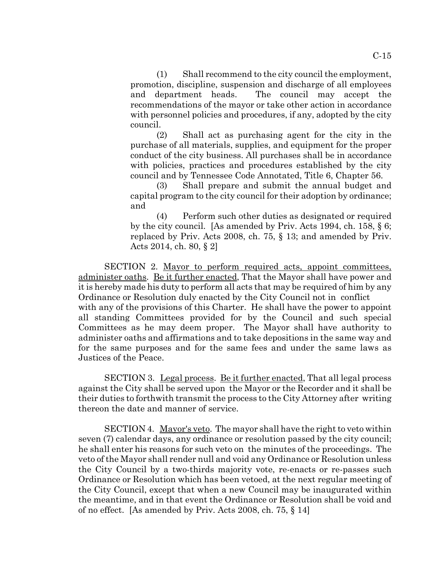(1) Shall recommend to the city council the employment, promotion, discipline, suspension and discharge of all employees and department heads. The council may accept the recommendations of the mayor or take other action in accordance with personnel policies and procedures, if any, adopted by the city council.

(2) Shall act as purchasing agent for the city in the purchase of all materials, supplies, and equipment for the proper conduct of the city business. All purchases shall be in accordance with policies, practices and procedures established by the city council and by Tennessee Code Annotated, Title 6, Chapter 56.

(3) Shall prepare and submit the annual budget and capital program to the city council for their adoption by ordinance; and

(4) Perform such other duties as designated or required by the city council. [As amended by Priv. Acts 1994, ch. 158, § 6; replaced by Priv. Acts 2008, ch. 75, § 13; and amended by Priv. Acts 2014, ch. 80, § 2]

SECTION 2. Mayor to perform required acts, appoint committees, administer oaths. Be it further enacted, That the Mayor shall have power and it is hereby made his duty to perform all acts that may be required of him by any Ordinance or Resolution duly enacted by the City Council not in conflict with any of the provisions of this Charter. He shall have the power to appoint all standing Committees provided for by the Council and such special Committees as he may deem proper. The Mayor shall have authority to administer oaths and affirmations and to take depositions in the same way and for the same purposes and for the same fees and under the same laws as Justices of the Peace.

SECTION 3. Legal process. Be it further enacted, That all legal process against the City shall be served upon the Mayor or the Recorder and it shall be their duties to forthwith transmit the process to the City Attorney after writing thereon the date and manner of service.

SECTION 4. Mayor's veto. The mayor shall have the right to veto within seven (7) calendar days, any ordinance or resolution passed by the city council; he shall enter his reasons for such veto on the minutes of the proceedings. The veto of the Mayor shall render null and void any Ordinance or Resolution unless the City Council by a two-thirds majority vote, re-enacts or re-passes such Ordinance or Resolution which has been vetoed, at the next regular meeting of the City Council, except that when a new Council may be inaugurated within the meantime, and in that event the Ordinance or Resolution shall be void and of no effect. [As amended by Priv. Acts 2008, ch. 75, § 14]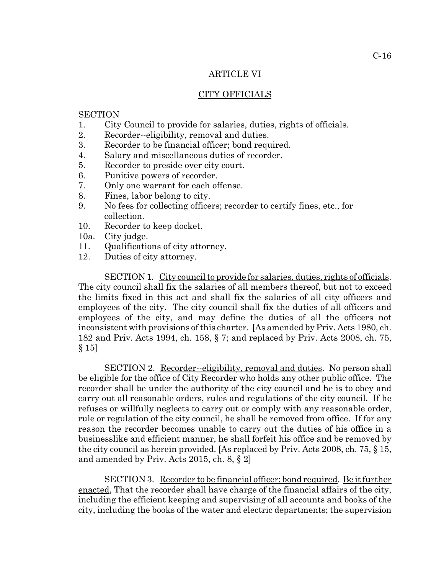#### ARTICLE VI

### CITY OFFICIALS

#### **SECTION**

- 1. City Council to provide for salaries, duties, rights of officials.
- 2. Recorder--eligibility, removal and duties.
- 3. Recorder to be financial officer; bond required.
- 4. Salary and miscellaneous duties of recorder.
- 5. Recorder to preside over city court.
- 6. Punitive powers of recorder.
- 7. Only one warrant for each offense.
- 8. Fines, labor belong to city.
- 9. No fees for collecting officers; recorder to certify fines, etc., for collection.
- 10. Recorder to keep docket.
- 10a. City judge.
- 11. Qualifications of city attorney.
- 12. Duties of city attorney.

SECTION 1. City council to provide for salaries, duties, rights of officials. The city council shall fix the salaries of all members thereof, but not to exceed the limits fixed in this act and shall fix the salaries of all city officers and employees of the city. The city council shall fix the duties of all officers and employees of the city, and may define the duties of all the officers not inconsistent with provisions of this charter. [As amended by Priv. Acts 1980, ch. 182 and Priv. Acts 1994, ch. 158, § 7; and replaced by Priv. Acts 2008, ch. 75, § 15]

SECTION 2. Recorder--eligibility, removal and duties. No person shall be eligible for the office of City Recorder who holds any other public office. The recorder shall be under the authority of the city council and he is to obey and carry out all reasonable orders, rules and regulations of the city council. If he refuses or willfully neglects to carry out or comply with any reasonable order, rule or regulation of the city council, he shall be removed from office. If for any reason the recorder becomes unable to carry out the duties of his office in a businesslike and efficient manner, he shall forfeit his office and be removed by the city council as herein provided. [As replaced by Priv. Acts 2008, ch. 75, § 15, and amended by Priv. Acts 2015, ch. 8, § 2]

SECTION 3. Recorder to be financial officer; bond required. Be it further enacted, That the recorder shall have charge of the financial affairs of the city, including the efficient keeping and supervising of all accounts and books of the city, including the books of the water and electric departments; the supervision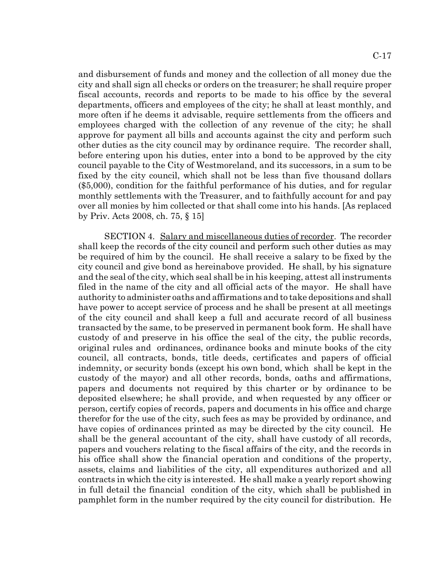and disbursement of funds and money and the collection of all money due the city and shall sign all checks or orders on the treasurer; he shall require proper fiscal accounts, records and reports to be made to his office by the several departments, officers and employees of the city; he shall at least monthly, and more often if he deems it advisable, require settlements from the officers and employees charged with the collection of any revenue of the city; he shall approve for payment all bills and accounts against the city and perform such other duties as the city council may by ordinance require. The recorder shall, before entering upon his duties, enter into a bond to be approved by the city council payable to the City of Westmoreland, and its successors, in a sum to be fixed by the city council, which shall not be less than five thousand dollars (\$5,000), condition for the faithful performance of his duties, and for regular monthly settlements with the Treasurer, and to faithfully account for and pay over all monies by him collected or that shall come into his hands. [As replaced by Priv. Acts 2008, ch. 75, § 15]

SECTION 4. Salary and miscellaneous duties of recorder. The recorder shall keep the records of the city council and perform such other duties as may be required of him by the council. He shall receive a salary to be fixed by the city council and give bond as hereinabove provided. He shall, by his signature and the seal of the city, which seal shall be in his keeping, attest all instruments filed in the name of the city and all official acts of the mayor. He shall have authority to administer oaths and affirmations and to take depositions and shall have power to accept service of process and he shall be present at all meetings of the city council and shall keep a full and accurate record of all business transacted by the same, to be preserved in permanent book form. He shall have custody of and preserve in his office the seal of the city, the public records, original rules and ordinances, ordinance books and minute books of the city council, all contracts, bonds, title deeds, certificates and papers of official indemnity, or security bonds (except his own bond, which shall be kept in the custody of the mayor) and all other records, bonds, oaths and affirmations, papers and documents not required by this charter or by ordinance to be deposited elsewhere; he shall provide, and when requested by any officer or person, certify copies of records, papers and documents in his office and charge therefor for the use of the city, such fees as may be provided by ordinance, and have copies of ordinances printed as may be directed by the city council. He shall be the general accountant of the city, shall have custody of all records, papers and vouchers relating to the fiscal affairs of the city, and the records in his office shall show the financial operation and conditions of the property, assets, claims and liabilities of the city, all expenditures authorized and all contracts in which the city is interested. He shall make a yearly report showing in full detail the financial condition of the city, which shall be published in pamphlet form in the number required by the city council for distribution. He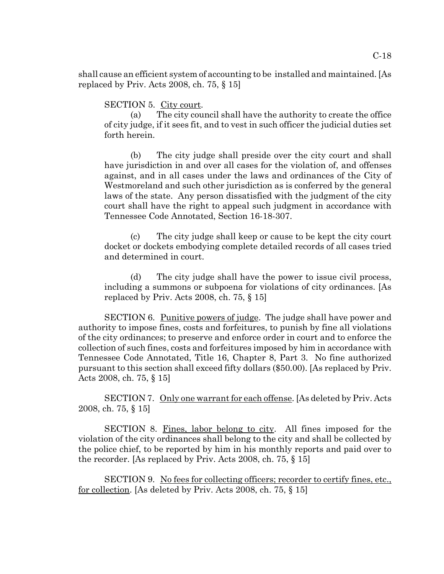C-18

shall cause an efficient system of accounting to be installed and maintained. [As replaced by Priv. Acts 2008, ch. 75, § 15]

SECTION 5. City court.

(a) The city council shall have the authority to create the office of city judge, if it sees fit, and to vest in such officer the judicial duties set forth herein.

(b) The city judge shall preside over the city court and shall have jurisdiction in and over all cases for the violation of, and offenses against, and in all cases under the laws and ordinances of the City of Westmoreland and such other jurisdiction as is conferred by the general laws of the state. Any person dissatisfied with the judgment of the city court shall have the right to appeal such judgment in accordance with Tennessee Code Annotated, Section 16-18-307.

(c) The city judge shall keep or cause to be kept the city court docket or dockets embodying complete detailed records of all cases tried and determined in court.

(d) The city judge shall have the power to issue civil process, including a summons or subpoena for violations of city ordinances. [As replaced by Priv. Acts 2008, ch. 75, § 15]

SECTION 6. Punitive powers of judge. The judge shall have power and authority to impose fines, costs and forfeitures, to punish by fine all violations of the city ordinances; to preserve and enforce order in court and to enforce the collection of such fines, costs and forfeitures imposed by him in accordance with Tennessee Code Annotated, Title 16, Chapter 8, Part 3. No fine authorized pursuant to this section shall exceed fifty dollars (\$50.00). [As replaced by Priv. Acts 2008, ch. 75, § 15]

SECTION 7. Only one warrant for each offense. [As deleted by Priv. Acts 2008, ch. 75, § 15]

SECTION 8. Fines, labor belong to city. All fines imposed for the violation of the city ordinances shall belong to the city and shall be collected by the police chief, to be reported by him in his monthly reports and paid over to the recorder. [As replaced by Priv. Acts 2008, ch. 75, § 15]

SECTION 9. No fees for collecting officers; recorder to certify fines, etc., for collection. [As deleted by Priv. Acts 2008, ch. 75, § 15]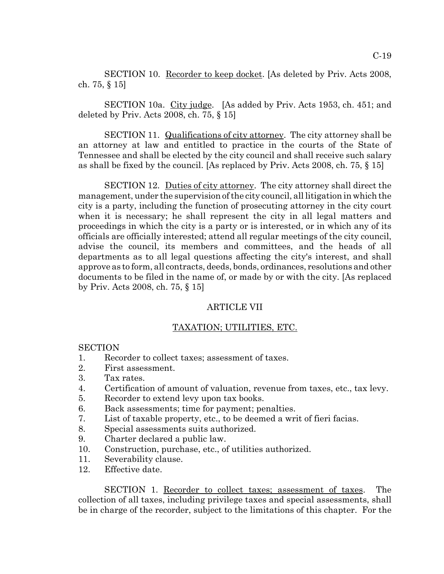SECTION 10. Recorder to keep docket. [As deleted by Priv. Acts 2008, ch. 75, § 15]

SECTION 10a. City judge. [As added by Priv. Acts 1953, ch. 451; and deleted by Priv. Acts 2008, ch. 75, § 15]

SECTION 11. Qualifications of city attorney. The city attorney shall be an attorney at law and entitled to practice in the courts of the State of Tennessee and shall be elected by the city council and shall receive such salary as shall be fixed by the council. [As replaced by Priv. Acts 2008, ch. 75, § 15]

SECTION 12. Duties of city attorney. The city attorney shall direct the management, under the supervision of the city council, all litigation in which the city is a party, including the function of prosecuting attorney in the city court when it is necessary; he shall represent the city in all legal matters and proceedings in which the city is a party or is interested, or in which any of its officials are officially interested; attend all regular meetings of the city council, advise the council, its members and committees, and the heads of all departments as to all legal questions affecting the city's interest, and shall approve as to form, all contracts, deeds, bonds, ordinances, resolutions and other documents to be filed in the name of, or made by or with the city. [As replaced by Priv. Acts 2008, ch. 75, § 15]

### ARTICLE VII

#### TAXATION; UTILITIES, ETC.

**SECTION** 

- 1. Recorder to collect taxes; assessment of taxes.
- 2. First assessment.
- 3. Tax rates.
- 4. Certification of amount of valuation, revenue from taxes, etc., tax levy.
- 5. Recorder to extend levy upon tax books.
- 6. Back assessments; time for payment; penalties.
- 7. List of taxable property, etc., to be deemed a writ of fieri facias.
- 8. Special assessments suits authorized.
- 9. Charter declared a public law.
- 10. Construction, purchase, etc., of utilities authorized.
- 11. Severability clause.
- 12. Effective date.

SECTION 1. Recorder to collect taxes; assessment of taxes. The collection of all taxes, including privilege taxes and special assessments, shall be in charge of the recorder, subject to the limitations of this chapter. For the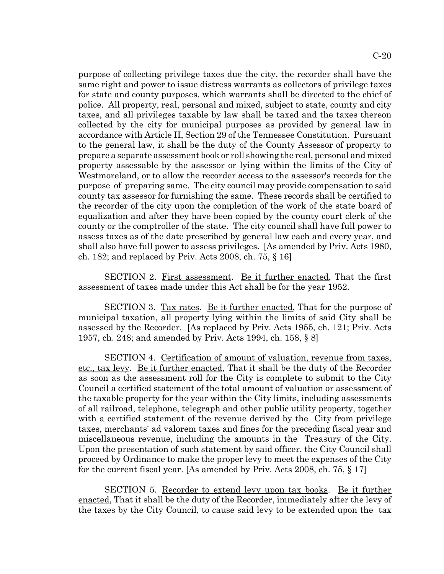purpose of collecting privilege taxes due the city, the recorder shall have the same right and power to issue distress warrants as collectors of privilege taxes for state and county purposes, which warrants shall be directed to the chief of police. All property, real, personal and mixed, subject to state, county and city taxes, and all privileges taxable by law shall be taxed and the taxes thereon collected by the city for municipal purposes as provided by general law in accordance with Article II, Section 29 of the Tennessee Constitution. Pursuant to the general law, it shall be the duty of the County Assessor of property to prepare a separate assessment book or roll showing the real, personal and mixed property assessable by the assessor or lying within the limits of the City of Westmoreland, or to allow the recorder access to the assessor's records for the purpose of preparing same. The city council may provide compensation to said county tax assessor for furnishing the same. These records shall be certified to the recorder of the city upon the completion of the work of the state board of equalization and after they have been copied by the county court clerk of the county or the comptroller of the state. The city council shall have full power to assess taxes as of the date prescribed by general law each and every year, and shall also have full power to assess privileges. [As amended by Priv. Acts 1980, ch. 182; and replaced by Priv. Acts 2008, ch. 75, § 16]

SECTION 2. First assessment. Be it further enacted, That the first assessment of taxes made under this Act shall be for the year 1952.

SECTION 3. Tax rates. Be it further enacted, That for the purpose of municipal taxation, all property lying within the limits of said City shall be assessed by the Recorder. [As replaced by Priv. Acts 1955, ch. 121; Priv. Acts 1957, ch. 248; and amended by Priv. Acts 1994, ch. 158, § 8]

SECTION 4. Certification of amount of valuation, revenue from taxes, etc., tax levy. Be it further enacted, That it shall be the duty of the Recorder as soon as the assessment roll for the City is complete to submit to the City Council a certified statement of the total amount of valuation or assessment of the taxable property for the year within the City limits, including assessments of all railroad, telephone, telegraph and other public utility property, together with a certified statement of the revenue derived by the City from privilege taxes, merchants' ad valorem taxes and fines for the preceding fiscal year and miscellaneous revenue, including the amounts in the Treasury of the City. Upon the presentation of such statement by said officer, the City Council shall proceed by Ordinance to make the proper levy to meet the expenses of the City for the current fiscal year. [As amended by Priv. Acts 2008, ch. 75, § 17]

SECTION 5. Recorder to extend levy upon tax books. Be it further enacted, That it shall be the duty of the Recorder, immediately after the levy of the taxes by the City Council, to cause said levy to be extended upon the tax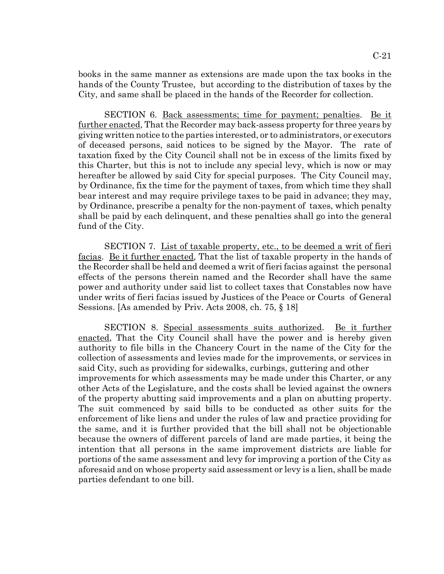books in the same manner as extensions are made upon the tax books in the hands of the County Trustee, but according to the distribution of taxes by the City, and same shall be placed in the hands of the Recorder for collection.

SECTION 6. Back assessments; time for payment; penalties. Be it further enacted, That the Recorder may back-assess property for three years by giving written notice to the parties interested, or to administrators, or executors of deceased persons, said notices to be signed by the Mayor. The rate of taxation fixed by the City Council shall not be in excess of the limits fixed by this Charter, but this is not to include any special levy, which is now or may hereafter be allowed by said City for special purposes. The City Council may, by Ordinance, fix the time for the payment of taxes, from which time they shall bear interest and may require privilege taxes to be paid in advance; they may, by Ordinance, prescribe a penalty for the non-payment of taxes, which penalty shall be paid by each delinquent, and these penalties shall go into the general fund of the City.

SECTION 7. List of taxable property, etc., to be deemed a writ of fieri facias. Be it further enacted, That the list of taxable property in the hands of the Recorder shall be held and deemed a writ of fieri facias against the personal effects of the persons therein named and the Recorder shall have the same power and authority under said list to collect taxes that Constables now have under writs of fieri facias issued by Justices of the Peace or Courts of General Sessions. [As amended by Priv. Acts 2008, ch. 75, § 18]

SECTION 8. Special assessments suits authorized. Be it further enacted, That the City Council shall have the power and is hereby given authority to file bills in the Chancery Court in the name of the City for the collection of assessments and levies made for the improvements, or services in said City, such as providing for sidewalks, curbings, guttering and other improvements for which assessments may be made under this Charter, or any other Acts of the Legislature, and the costs shall be levied against the owners of the property abutting said improvements and a plan on abutting property. The suit commenced by said bills to be conducted as other suits for the enforcement of like liens and under the rules of law and practice providing for the same, and it is further provided that the bill shall not be objectionable because the owners of different parcels of land are made parties, it being the intention that all persons in the same improvement districts are liable for portions of the same assessment and levy for improving a portion of the City as aforesaid and on whose property said assessment or levy is a lien, shall be made parties defendant to one bill.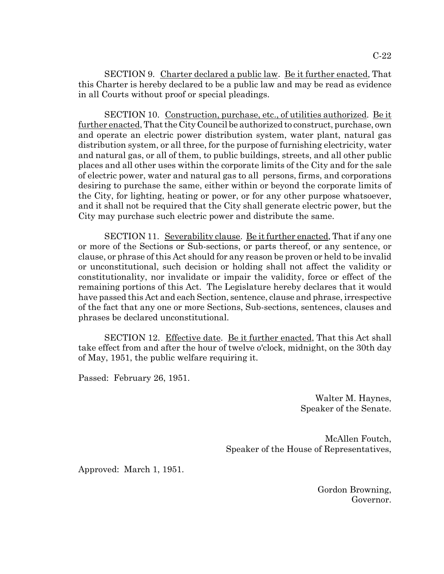SECTION 9. Charter declared a public law. Be it further enacted, That this Charter is hereby declared to be a public law and may be read as evidence in all Courts without proof or special pleadings.

SECTION 10. Construction, purchase, etc., of utilities authorized. Be it further enacted, That the City Council be authorized to construct, purchase, own and operate an electric power distribution system, water plant, natural gas distribution system, or all three, for the purpose of furnishing electricity, water and natural gas, or all of them, to public buildings, streets, and all other public places and all other uses within the corporate limits of the City and for the sale of electric power, water and natural gas to all persons, firms, and corporations desiring to purchase the same, either within or beyond the corporate limits of the City, for lighting, heating or power, or for any other purpose whatsoever, and it shall not be required that the City shall generate electric power, but the City may purchase such electric power and distribute the same.

SECTION 11. Severability clause. Be it further enacted, That if any one or more of the Sections or Sub-sections, or parts thereof, or any sentence, or clause, or phrase of this Act should for any reason be proven or held to be invalid or unconstitutional, such decision or holding shall not affect the validity or constitutionality, nor invalidate or impair the validity, force or effect of the remaining portions of this Act. The Legislature hereby declares that it would have passed this Act and each Section, sentence, clause and phrase, irrespective of the fact that any one or more Sections, Sub-sections, sentences, clauses and phrases be declared unconstitutional.

SECTION 12. Effective date. Be it further enacted, That this Act shall take effect from and after the hour of twelve o'clock, midnight, on the 30th day of May, 1951, the public welfare requiring it.

Passed: February 26, 1951.

Walter M. Haynes, Speaker of the Senate.

McAllen Foutch, Speaker of the House of Representatives,

Approved: March 1, 1951.

Gordon Browning, Governor.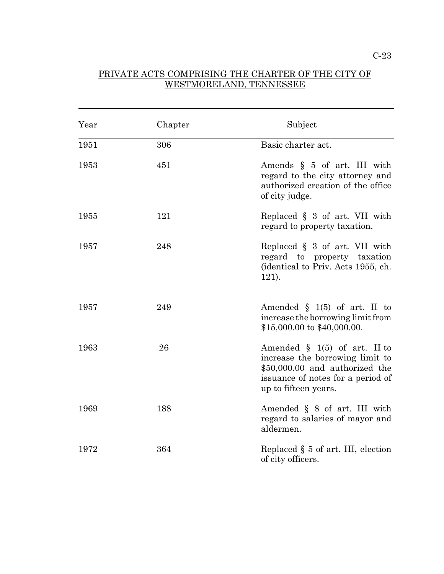# PRIVATE ACTS COMPRISING THE CHARTER OF THE CITY OF WESTMORELAND, TENNESSEE

l

| Year | Chapter | Subject                                                                                                                                                           |
|------|---------|-------------------------------------------------------------------------------------------------------------------------------------------------------------------|
| 1951 | 306     | Basic charter act.                                                                                                                                                |
| 1953 | 451     | Amends $\S$ 5 of art. III with<br>regard to the city attorney and<br>authorized creation of the office<br>of city judge.                                          |
| 1955 | 121     | Replaced $\S$ 3 of art. VII with<br>regard to property taxation.                                                                                                  |
| 1957 | 248     | Replaced $\S$ 3 of art. VII with<br>regard to property taxation<br>(identical to Priv. Acts 1955, ch.<br>121).                                                    |
| 1957 | 249     | Amended $\S$ 1(5) of art. II to<br>increase the borrowing limit from<br>$$15,000.00$ to $$40,000.00$ .                                                            |
| 1963 | 26      | Amended $\S$ 1(5) of art. II to<br>increase the borrowing limit to<br>\$50,000.00 and authorized the<br>issuance of notes for a period of<br>up to fifteen years. |
| 1969 | 188     | Amended $\S$ 8 of art. III with<br>regard to salaries of mayor and<br>aldermen.                                                                                   |
| 1972 | 364     | Replaced $\S$ 5 of art. III, election<br>of city officers.                                                                                                        |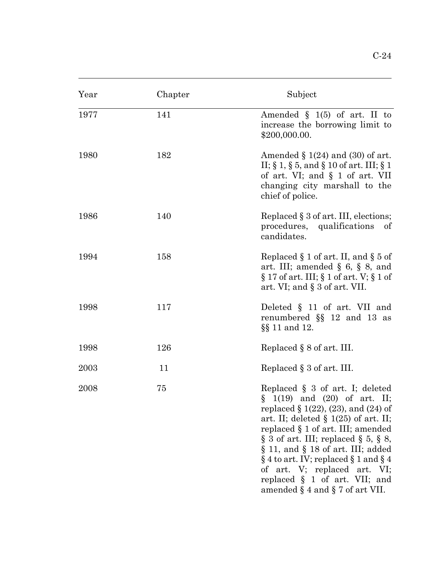| Year | Chapter | Subject                                                                                                                                                                                                                                                                                                                                                                                                                                                   |
|------|---------|-----------------------------------------------------------------------------------------------------------------------------------------------------------------------------------------------------------------------------------------------------------------------------------------------------------------------------------------------------------------------------------------------------------------------------------------------------------|
| 1977 | 141     | Amended $\S$ 1(5) of art. II to<br>increase the borrowing limit to<br>\$200,000.00.                                                                                                                                                                                                                                                                                                                                                                       |
| 1980 | 182     | Amended $\S 1(24)$ and (30) of art.<br>II; $\S 1$ , $\S 5$ , and $\S 10$ of art. III; $\S 1$<br>of art. VI; and § 1 of art. VII<br>changing city marshall to the<br>chief of police.                                                                                                                                                                                                                                                                      |
| 1986 | 140     | Replaced § 3 of art. III, elections;<br>procedures, qualifications<br>of<br>candidates.                                                                                                                                                                                                                                                                                                                                                                   |
| 1994 | 158     | Replaced $\S 1$ of art. II, and $\S 5$ of<br>art. III; amended $\S$ 6, $\S$ 8, and<br>$\S 17$ of art. III; $\S 1$ of art. V; $\S 1$ of<br>art. VI; and $\S 3$ of art. VII.                                                                                                                                                                                                                                                                                |
| 1998 | 117     | Deleted $\S$ 11 of art. VII and<br>renumbered $\S$ 12 and 13 as<br>§§ 11 and 12.                                                                                                                                                                                                                                                                                                                                                                          |
| 1998 | 126     | Replaced $\S 8$ of art. III.                                                                                                                                                                                                                                                                                                                                                                                                                              |
| 2003 | 11      | Replaced $\S 3$ of art. III.                                                                                                                                                                                                                                                                                                                                                                                                                              |
| 2008 | 75      | Replaced $\S$ 3 of art. I; deleted<br>$\S$ 1(19) and (20) of art. II;<br>replaced $\S 1(22)$ , (23), and (24) of<br>art. II; deleted $\S$ 1(25) of art. II;<br>replaced § 1 of art. III; amended<br>$\S$ 3 of art. III; replaced $\S$ 5, $\S$ 8,<br>$\S$ 11, and $\S$ 18 of art. III; added<br>$\S 4$ to art. IV; replaced $\S 1$ and $\S 4$<br>of art. V; replaced art. VI;<br>replaced $\S$ 1 of art. VII; and<br>amended $\S$ 4 and $\S$ 7 of art VII. |

l